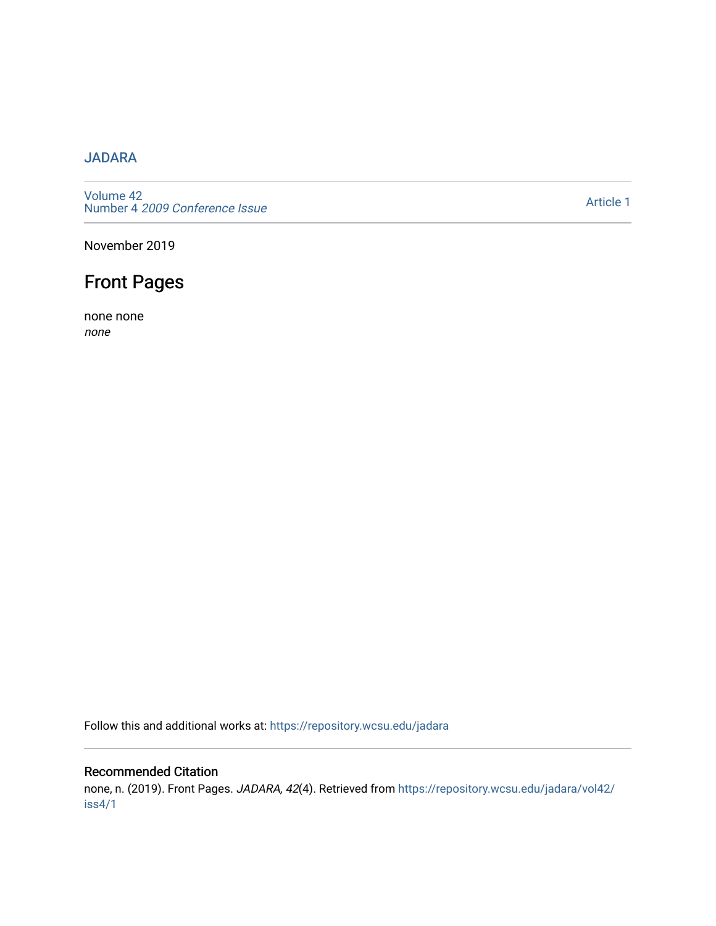# [JADARA](https://repository.wcsu.edu/jadara)

[Volume 42](https://repository.wcsu.edu/jadara/vol42)  Number 4 [2009 Conference Issue](https://repository.wcsu.edu/jadara/vol42/iss4) 

[Article 1](https://repository.wcsu.edu/jadara/vol42/iss4/1) 

November 2019

# Front Pages

none none none

Follow this and additional works at: [https://repository.wcsu.edu/jadara](https://repository.wcsu.edu/jadara?utm_source=repository.wcsu.edu%2Fjadara%2Fvol42%2Fiss4%2F1&utm_medium=PDF&utm_campaign=PDFCoverPages)

# Recommended Citation

none, n. (2019). Front Pages. JADARA, 42(4). Retrieved from [https://repository.wcsu.edu/jadara/vol42/](https://repository.wcsu.edu/jadara/vol42/iss4/1?utm_source=repository.wcsu.edu%2Fjadara%2Fvol42%2Fiss4%2F1&utm_medium=PDF&utm_campaign=PDFCoverPages) [iss4/1](https://repository.wcsu.edu/jadara/vol42/iss4/1?utm_source=repository.wcsu.edu%2Fjadara%2Fvol42%2Fiss4%2F1&utm_medium=PDF&utm_campaign=PDFCoverPages)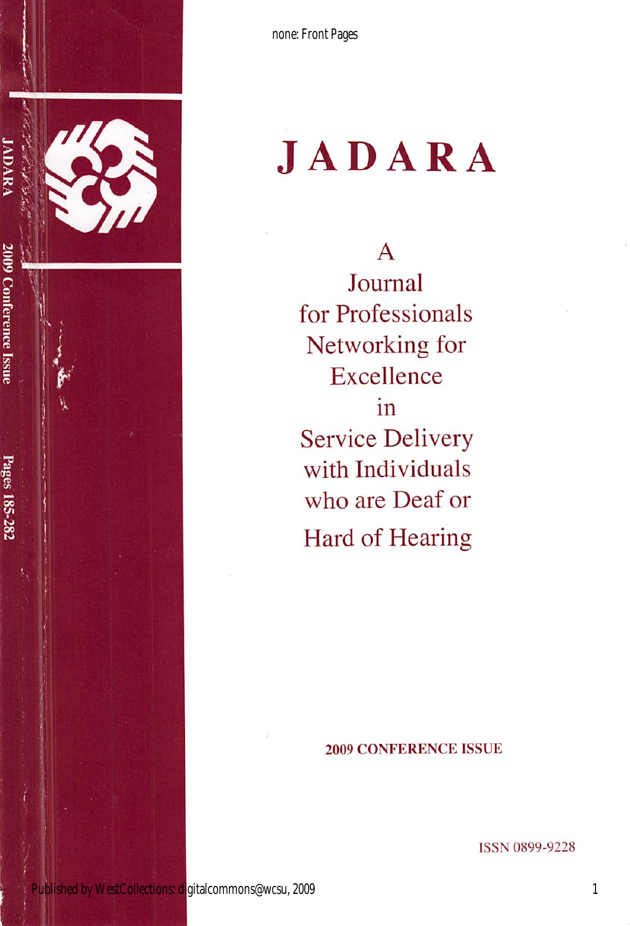

none: Front Pages

# **JADARA**

 $\mathsf{A}$ Journal for Professionals Networking for Excellence in **Service Delivery** with Individuals who are Deaf or Hard of Hearing

#### **2009 CONFERENCE ISSUE**

**ISSN 0899-9228** 

 $\mathbf{1}$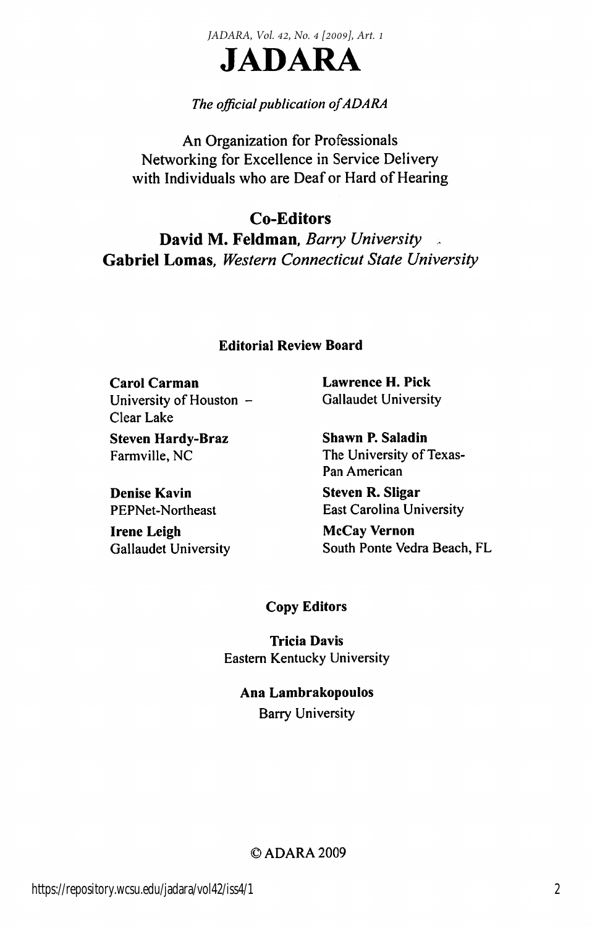*JADARA, Vol. 42, No. 4 [2009], Art. 1*



### The official publication of ADARA

An Organization for Professionals Networking for Excellence in Service Delivery with Individuals who are Deaf or Hard of Hearing

Co-Editors David M. Feldman, Barry University Gabriel Lomas, Western Connecticut State University

#### Editorial Review Board

Carol Carman Lawrence H. Pick University of Houston - Gallaudet University Clear Lake

Steven Hardy-Braz Shawn P. Saladin

Denise Kavin Steven R. Sligar

Irene Leigh McCay Vernon

Farmville, NC The University of Texas-Pan American

PEPNet-Northeast East Carolina University

Gallaudet University South Ponte Vedra Beach, FL

#### Copy Editors

Tricia Davis Eastern Kentucky University

Ana Lambrakopoulos Barry University

#### ©ADARA2009